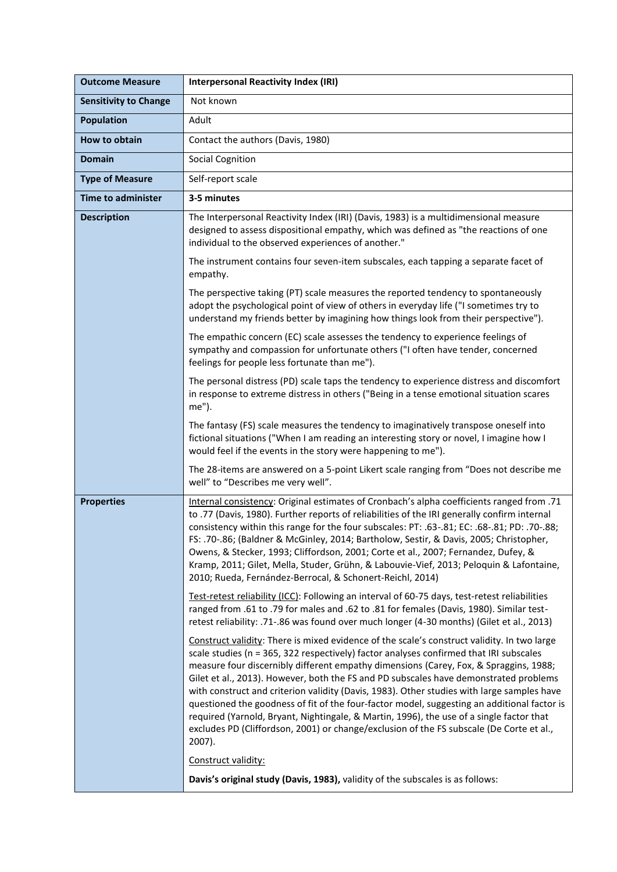| <b>Outcome Measure</b>       | <b>Interpersonal Reactivity Index (IRI)</b>                                                                                                                                                                                                                                                                                                                                                                                                                                                                                                                                                                                                                                                                                                                            |
|------------------------------|------------------------------------------------------------------------------------------------------------------------------------------------------------------------------------------------------------------------------------------------------------------------------------------------------------------------------------------------------------------------------------------------------------------------------------------------------------------------------------------------------------------------------------------------------------------------------------------------------------------------------------------------------------------------------------------------------------------------------------------------------------------------|
| <b>Sensitivity to Change</b> | Not known                                                                                                                                                                                                                                                                                                                                                                                                                                                                                                                                                                                                                                                                                                                                                              |
| <b>Population</b>            | Adult                                                                                                                                                                                                                                                                                                                                                                                                                                                                                                                                                                                                                                                                                                                                                                  |
| <b>How to obtain</b>         | Contact the authors (Davis, 1980)                                                                                                                                                                                                                                                                                                                                                                                                                                                                                                                                                                                                                                                                                                                                      |
| <b>Domain</b>                | <b>Social Cognition</b>                                                                                                                                                                                                                                                                                                                                                                                                                                                                                                                                                                                                                                                                                                                                                |
| <b>Type of Measure</b>       | Self-report scale                                                                                                                                                                                                                                                                                                                                                                                                                                                                                                                                                                                                                                                                                                                                                      |
| <b>Time to administer</b>    | 3-5 minutes                                                                                                                                                                                                                                                                                                                                                                                                                                                                                                                                                                                                                                                                                                                                                            |
| <b>Description</b>           | The Interpersonal Reactivity Index (IRI) (Davis, 1983) is a multidimensional measure<br>designed to assess dispositional empathy, which was defined as "the reactions of one<br>individual to the observed experiences of another."                                                                                                                                                                                                                                                                                                                                                                                                                                                                                                                                    |
|                              | The instrument contains four seven-item subscales, each tapping a separate facet of<br>empathy.                                                                                                                                                                                                                                                                                                                                                                                                                                                                                                                                                                                                                                                                        |
|                              | The perspective taking (PT) scale measures the reported tendency to spontaneously<br>adopt the psychological point of view of others in everyday life ("I sometimes try to<br>understand my friends better by imagining how things look from their perspective").                                                                                                                                                                                                                                                                                                                                                                                                                                                                                                      |
|                              | The empathic concern (EC) scale assesses the tendency to experience feelings of<br>sympathy and compassion for unfortunate others ("I often have tender, concerned<br>feelings for people less fortunate than me").                                                                                                                                                                                                                                                                                                                                                                                                                                                                                                                                                    |
|                              | The personal distress (PD) scale taps the tendency to experience distress and discomfort<br>in response to extreme distress in others ("Being in a tense emotional situation scares<br>me").                                                                                                                                                                                                                                                                                                                                                                                                                                                                                                                                                                           |
|                              | The fantasy (FS) scale measures the tendency to imaginatively transpose oneself into<br>fictional situations ("When I am reading an interesting story or novel, I imagine how I<br>would feel if the events in the story were happening to me").                                                                                                                                                                                                                                                                                                                                                                                                                                                                                                                       |
|                              | The 28-items are answered on a 5-point Likert scale ranging from "Does not describe me<br>well" to "Describes me very well".                                                                                                                                                                                                                                                                                                                                                                                                                                                                                                                                                                                                                                           |
| <b>Properties</b>            | Internal consistency: Original estimates of Cronbach's alpha coefficients ranged from .71<br>to .77 (Davis, 1980). Further reports of reliabilities of the IRI generally confirm internal<br>consistency within this range for the four subscales: PT: .63-.81; EC: .68-.81; PD: .70-.88;<br>FS: .70-.86; (Baldner & McGinley, 2014; Bartholow, Sestir, & Davis, 2005; Christopher,<br>Owens, & Stecker, 1993; Cliffordson, 2001; Corte et al., 2007; Fernandez, Dufey, &<br>Kramp, 2011; Gilet, Mella, Studer, Grühn, & Labouvie-Vief, 2013; Peloquin & Lafontaine,<br>2010; Rueda, Fernández-Berrocal, & Schonert-Reichl, 2014)                                                                                                                                      |
|                              | Test-retest reliability (ICC): Following an interval of 60-75 days, test-retest reliabilities<br>ranged from .61 to .79 for males and .62 to .81 for females (Davis, 1980). Similar test-<br>retest reliability: .71-.86 was found over much longer (4-30 months) (Gilet et al., 2013)                                                                                                                                                                                                                                                                                                                                                                                                                                                                                 |
|                              | Construct validity: There is mixed evidence of the scale's construct validity. In two large<br>scale studies (n = 365, 322 respectively) factor analyses confirmed that IRI subscales<br>measure four discernibly different empathy dimensions (Carey, Fox, & Spraggins, 1988;<br>Gilet et al., 2013). However, both the FS and PD subscales have demonstrated problems<br>with construct and criterion validity (Davis, 1983). Other studies with large samples have<br>questioned the goodness of fit of the four-factor model, suggesting an additional factor is<br>required (Yarnold, Bryant, Nightingale, & Martin, 1996), the use of a single factor that<br>excludes PD (Cliffordson, 2001) or change/exclusion of the FS subscale (De Corte et al.,<br>2007). |
|                              | Construct validity:                                                                                                                                                                                                                                                                                                                                                                                                                                                                                                                                                                                                                                                                                                                                                    |
|                              | Davis's original study (Davis, 1983), validity of the subscales is as follows:                                                                                                                                                                                                                                                                                                                                                                                                                                                                                                                                                                                                                                                                                         |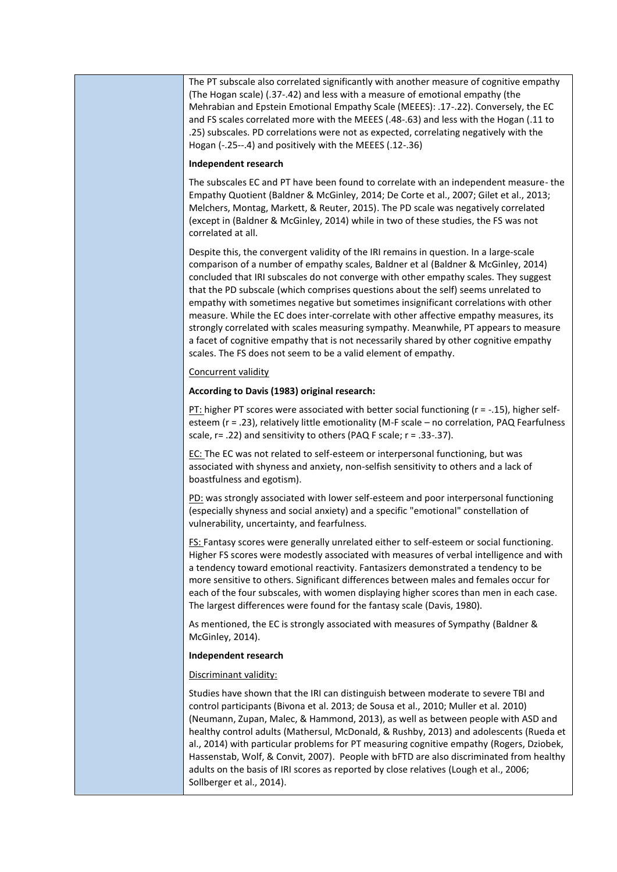The PT subscale also correlated significantly with another measure of cognitive empathy (The Hogan scale) (.37-.42) and less with a measure of emotional empathy (the Mehrabian and Epstein Emotional Empathy Scale (MEEES): .17-.22). Conversely, the EC and FS scales correlated more with the MEEES (.48-.63) and less with the Hogan (.11 to .25) subscales. PD correlations were not as expected, correlating negatively with the Hogan (-.25--.4) and positively with the MEEES (.12-.36)

#### **Independent research**

The subscales EC and PT have been found to correlate with an independent measure- the Empathy Quotient (Baldner & McGinley, 2014; De Corte et al., 2007; Gilet et al., 2013; Melchers, Montag, Markett, & Reuter, 2015). The PD scale was negatively correlated (except in (Baldner & McGinley, 2014) while in two of these studies, the FS was not correlated at all.

Despite this, the convergent validity of the IRI remains in question. In a large-scale comparison of a number of empathy scales, Baldner et al (Baldner & McGinley, 2014) concluded that IRI subscales do not converge with other empathy scales. They suggest that the PD subscale (which comprises questions about the self) seems unrelated to empathy with sometimes negative but sometimes insignificant correlations with other measure. While the EC does inter-correlate with other affective empathy measures, its strongly correlated with scales measuring sympathy. Meanwhile, PT appears to measure a facet of cognitive empathy that is not necessarily shared by other cognitive empathy scales. The FS does not seem to be a valid element of empathy.

## Concurrent validity

# **According to Davis (1983) original research:**

PT: higher PT scores were associated with better social functioning (r = -.15), higher selfesteem (r = .23), relatively little emotionality (M-F scale – no correlation, PAQ Fearfulness scale, r= .22) and sensitivity to others (PAQ F scale; r = .33-.37).

EC: The EC was not related to self-esteem or interpersonal functioning, but was associated with shyness and anxiety, non-selfish sensitivity to others and a lack of boastfulness and egotism).

PD: was strongly associated with lower self-esteem and poor interpersonal functioning (especially shyness and social anxiety) and a specific "emotional" constellation of vulnerability, uncertainty, and fearfulness.

FS: Fantasy scores were generally unrelated either to self-esteem or social functioning. Higher FS scores were modestly associated with measures of verbal intelligence and with a tendency toward emotional reactivity. Fantasizers demonstrated a tendency to be more sensitive to others. Significant differences between males and females occur for each of the four subscales, with women displaying higher scores than men in each case. The largest differences were found for the fantasy scale (Davis, 1980).

As mentioned, the EC is strongly associated with measures of Sympathy (Baldner & McGinley, 2014).

## **Independent research**

# Discriminant validity:

Studies have shown that the IRI can distinguish between moderate to severe TBI and control participants (Bivona et al. 2013; de Sousa et al., 2010; Muller et al. 2010) (Neumann, Zupan, Malec, & Hammond, 2013), as well as between people with ASD and healthy control adults (Mathersul, McDonald, & Rushby, 2013) and adolescents (Rueda et al., 2014) with particular problems for PT measuring cognitive empathy (Rogers, Dziobek, Hassenstab, Wolf, & Convit, 2007). People with bFTD are also discriminated from healthy adults on the basis of IRI scores as reported by close relatives (Lough et al., 2006; Sollberger et al., 2014).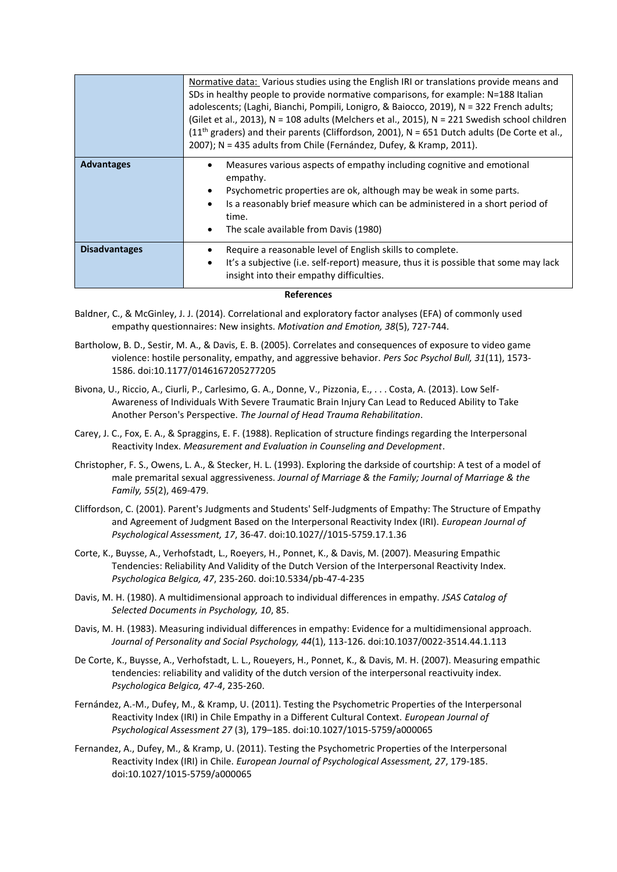|                      | Normative data: Various studies using the English IRI or translations provide means and<br>SDs in healthy people to provide normative comparisons, for example: N=188 Italian<br>adolescents; (Laghi, Bianchi, Pompili, Lonigro, & Baiocco, 2019), N = 322 French adults;<br>(Gilet et al., 2013), N = 108 adults (Melchers et al., 2015), N = 221 Swedish school children<br>(11 <sup>th</sup> graders) and their parents (Cliffordson, 2001), N = 651 Dutch adults (De Corte et al.,<br>2007); N = 435 adults from Chile (Fernández, Dufey, & Kramp, 2011). |
|----------------------|---------------------------------------------------------------------------------------------------------------------------------------------------------------------------------------------------------------------------------------------------------------------------------------------------------------------------------------------------------------------------------------------------------------------------------------------------------------------------------------------------------------------------------------------------------------|
| Advantages           | Measures various aspects of empathy including cognitive and emotional<br>٠<br>empathy.<br>Psychometric properties are ok, although may be weak in some parts.<br>Is a reasonably brief measure which can be administered in a short period of<br>$\bullet$<br>time.<br>The scale available from Davis (1980)<br>$\bullet$                                                                                                                                                                                                                                     |
| <b>Disadvantages</b> | Require a reasonable level of English skills to complete.<br>It's a subjective (i.e. self-report) measure, thus it is possible that some may lack<br>$\bullet$<br>insight into their empathy difficulties.                                                                                                                                                                                                                                                                                                                                                    |

#### **References**

- Baldner, C., & McGinley, J. J. (2014). Correlational and exploratory factor analyses (EFA) of commonly used empathy questionnaires: New insights. *Motivation and Emotion, 38*(5), 727-744.
- Bartholow, B. D., Sestir, M. A., & Davis, E. B. (2005). Correlates and consequences of exposure to video game violence: hostile personality, empathy, and aggressive behavior. *Pers Soc Psychol Bull, 31*(11), 1573- 1586. doi:10.1177/0146167205277205
- Bivona, U., Riccio, A., Ciurli, P., Carlesimo, G. A., Donne, V., Pizzonia, E., . . . Costa, A. (2013). Low Self-Awareness of Individuals With Severe Traumatic Brain Injury Can Lead to Reduced Ability to Take Another Person's Perspective. *The Journal of Head Trauma Rehabilitation*.
- Carey, J. C., Fox, E. A., & Spraggins, E. F. (1988). Replication of structure findings regarding the Interpersonal Reactivity Index. *Measurement and Evaluation in Counseling and Development*.
- Christopher, F. S., Owens, L. A., & Stecker, H. L. (1993). Exploring the darkside of courtship: A test of a model of male premarital sexual aggressiveness. *Journal of Marriage & the Family; Journal of Marriage & the Family, 55*(2), 469-479.
- Cliffordson, C. (2001). Parent's Judgments and Students' Self-Judgments of Empathy: The Structure of Empathy and Agreement of Judgment Based on the Interpersonal Reactivity Index (IRI). *European Journal of Psychological Assessment, 17*, 36-47. doi:10.1027//1015-5759.17.1.36
- Corte, K., Buysse, A., Verhofstadt, L., Roeyers, H., Ponnet, K., & Davis, M. (2007). Measuring Empathic Tendencies: Reliability And Validity of the Dutch Version of the Interpersonal Reactivity Index. *Psychologica Belgica, 47*, 235-260. doi:10.5334/pb-47-4-235
- Davis, M. H. (1980). A multidimensional approach to individual differences in empathy. *JSAS Catalog of Selected Documents in Psychology, 10*, 85.
- Davis, M. H. (1983). Measuring individual differences in empathy: Evidence for a multidimensional approach. *Journal of Personality and Social Psychology, 44*(1), 113-126. doi:10.1037/0022-3514.44.1.113
- De Corte, K., Buysse, A., Verhofstadt, L. L., Roueyers, H., Ponnet, K., & Davis, M. H. (2007). Measuring empathic tendencies: reliability and validity of the dutch version of the interpersonal reactivuity index. *Psychologica Belgica, 47-4*, 235-260.
- Fernández, A.-M., Dufey, M., & Kramp, U. (2011). Testing the Psychometric Properties of the Interpersonal Reactivity Index (IRI) in Chile Empathy in a Different Cultural Context. *European Journal of Psychological Assessment 27* (3), 179–185. doi:10.1027/1015-5759/a000065
- Fernandez, A., Dufey, M., & Kramp, U. (2011). Testing the Psychometric Properties of the Interpersonal Reactivity Index (IRI) in Chile. *European Journal of Psychological Assessment, 27*, 179-185. doi:10.1027/1015-5759/a000065